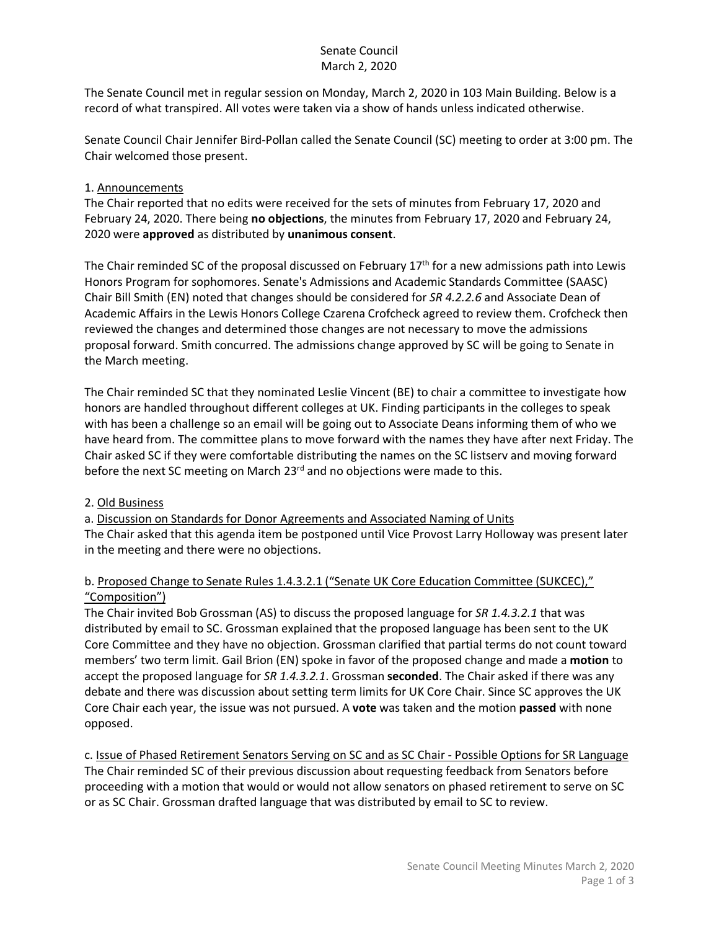## Senate Council March 2, 2020

The Senate Council met in regular session on Monday, March 2, 2020 in 103 Main Building. Below is a record of what transpired. All votes were taken via a show of hands unless indicated otherwise.

Senate Council Chair Jennifer Bird-Pollan called the Senate Council (SC) meeting to order at 3:00 pm. The Chair welcomed those present.

### 1. Announcements

The Chair reported that no edits were received for the sets of minutes from February 17, 2020 and February 24, 2020. There being **no objections**, the minutes from February 17, 2020 and February 24, 2020 were **approved** as distributed by **unanimous consent**.

The Chair reminded SC of the proposal discussed on February 17<sup>th</sup> for a new admissions path into Lewis Honors Program for sophomores. Senate's Admissions and Academic Standards Committee (SAASC) Chair Bill Smith (EN) noted that changes should be considered for *SR 4.2.2.6* and Associate Dean of Academic Affairs in the Lewis Honors College Czarena Crofcheck agreed to review them. Crofcheck then reviewed the changes and determined those changes are not necessary to move the admissions proposal forward. Smith concurred. The admissions change approved by SC will be going to Senate in the March meeting.

The Chair reminded SC that they nominated Leslie Vincent (BE) to chair a committee to investigate how honors are handled throughout different colleges at UK. Finding participants in the colleges to speak with has been a challenge so an email will be going out to Associate Deans informing them of who we have heard from. The committee plans to move forward with the names they have after next Friday. The Chair asked SC if they were comfortable distributing the names on the SC listserv and moving forward before the next SC meeting on March 23<sup>rd</sup> and no objections were made to this.

## 2. Old Business

a. Discussion on Standards for Donor Agreements and Associated Naming of Units The Chair asked that this agenda item be postponed until Vice Provost Larry Holloway was present later in the meeting and there were no objections.

## b. Proposed Change to Senate Rules 1.4.3.2.1 ("Senate UK Core Education Committee (SUKCEC)," "Composition")

The Chair invited Bob Grossman (AS) to discuss the proposed language for *SR 1.4.3.2.1* that was distributed by email to SC. Grossman explained that the proposed language has been sent to the UK Core Committee and they have no objection. Grossman clarified that partial terms do not count toward members' two term limit. Gail Brion (EN) spoke in favor of the proposed change and made a **motion** to accept the proposed language for *SR 1.4.3.2.1*. Grossman **seconded**. The Chair asked if there was any debate and there was discussion about setting term limits for UK Core Chair. Since SC approves the UK Core Chair each year, the issue was not pursued. A **vote** was taken and the motion **passed** with none opposed.

c. Issue of Phased Retirement Senators Serving on SC and as SC Chair - Possible Options for SR Language The Chair reminded SC of their previous discussion about requesting feedback from Senators before proceeding with a motion that would or would not allow senators on phased retirement to serve on SC or as SC Chair. Grossman drafted language that was distributed by email to SC to review.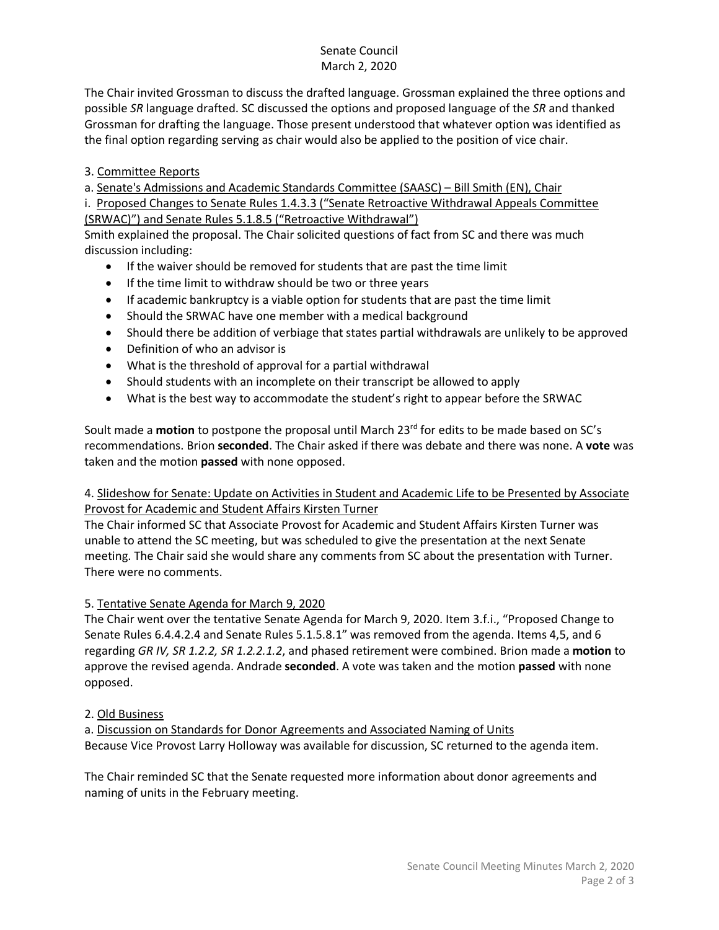## Senate Council March 2, 2020

The Chair invited Grossman to discuss the drafted language. Grossman explained the three options and possible *SR* language drafted. SC discussed the options and proposed language of the *SR* and thanked Grossman for drafting the language. Those present understood that whatever option was identified as the final option regarding serving as chair would also be applied to the position of vice chair.

# 3. Committee Reports

a. Senate's Admissions and Academic Standards Committee (SAASC) – Bill Smith (EN), Chair

i. Proposed Changes to Senate Rules 1.4.3.3 ("Senate Retroactive Withdrawal Appeals Committee (SRWAC)") and Senate Rules 5.1.8.5 ("Retroactive Withdrawal")

Smith explained the proposal. The Chair solicited questions of fact from SC and there was much discussion including:

- If the waiver should be removed for students that are past the time limit
- If the time limit to withdraw should be two or three years
- If academic bankruptcy is a viable option for students that are past the time limit
- Should the SRWAC have one member with a medical background
- Should there be addition of verbiage that states partial withdrawals are unlikely to be approved
- Definition of who an advisor is
- What is the threshold of approval for a partial withdrawal
- Should students with an incomplete on their transcript be allowed to apply
- What is the best way to accommodate the student's right to appear before the SRWAC

Soult made a **motion** to postpone the proposal until March 23<sup>rd</sup> for edits to be made based on SC's recommendations. Brion **seconded**. The Chair asked if there was debate and there was none. A **vote** was taken and the motion **passed** with none opposed.

#### 4. Slideshow for Senate: Update on Activities in Student and Academic Life to be Presented by Associate Provost for Academic and Student Affairs Kirsten Turner

The Chair informed SC that Associate Provost for Academic and Student Affairs Kirsten Turner was unable to attend the SC meeting, but was scheduled to give the presentation at the next Senate meeting. The Chair said she would share any comments from SC about the presentation with Turner. There were no comments.

## 5. Tentative Senate Agenda for March 9, 2020

The Chair went over the tentative Senate Agenda for March 9, 2020. Item 3.f.i., "Proposed Change to Senate Rules 6.4.4.2.4 and Senate Rules 5.1.5.8.1" was removed from the agenda. Items 4,5, and 6 regarding *GR IV, SR 1.2.2, SR 1.2.2.1.2*, and phased retirement were combined. Brion made a **motion** to approve the revised agenda. Andrade **seconded**. A vote was taken and the motion **passed** with none opposed.

## 2. Old Business

a. Discussion on Standards for Donor Agreements and Associated Naming of Units Because Vice Provost Larry Holloway was available for discussion, SC returned to the agenda item.

The Chair reminded SC that the Senate requested more information about donor agreements and naming of units in the February meeting.